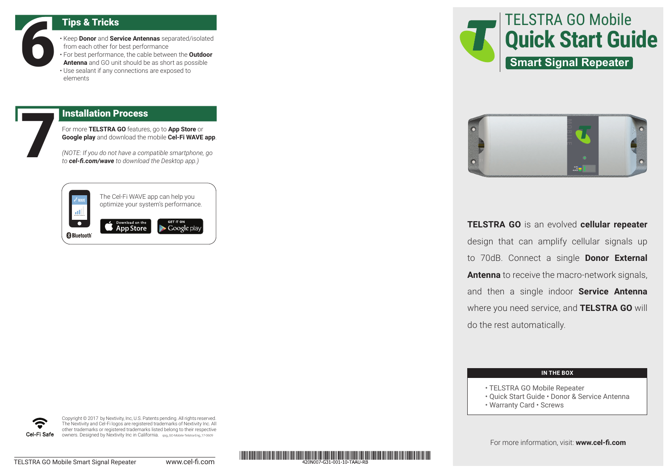Tips & Tricks<br>
Friend Service Donor and Service Contract of Service Antenna and GO unit<br>
Use sealant if any contract of Service Service Service Service Service Service Service Service Service Service Service Service Servic • Keep **Donor** and **Service Antennas** separated/isolated from each other for best performance • For best performance, the cable between the **Outdoor Antenna** and GO unit should be as short as possible • Use sealant if any connections are exposed to elements

For more **TELSTRA GO** features, go to **App Store** or **Google play** and download the mobile **Cel-Fi WAVE app**.

**Installation Process**<br>For more **TELSTRA GO** features<br>Google play and download the<br>(NOTE: If you do not have a com<br>to **cel-fi.com/wave** to download *(NOTE: If you do not have a compatible smartphone, go to cel-fi.com/wave to download the Desktop app.)*

| <b>WAVE</b>        | The Cel-Fi WAVE app can help you<br>optimize your system's performance. |                                 |
|--------------------|-------------------------------------------------------------------------|---------------------------------|
| <b>B</b> Bluetooth | Download on the<br><b>App Store</b>                                     | <b>GET IT ON</b><br>Google play |





**TELSTRA GO** is an evolved **cellular repeater** design that can amplify cellular signals up to 70dB. Connect a single **Donor External Antenna** to receive the macro-network signals, and then a single indoor **Service Antenna** where you need service, and **TELSTRA GO** will do the rest automatically.

## **IN THE BOX**

- TELSTRA GO Mobile Repeater
- Quick Start Guide Donor & Service Antenna
- Warranty Card Screws

For more information, visit: **www.cel-fi.com**



Copyright © 2017 by Nextivity, Inc, U.S. Patents pending. All rights reserved. The Nextivity and Cel-Fi logos are registered trademarks of Nextivity Inc. All other trademarks or registered trademarks listed belong to their respective owners. Designed by Nextivity Inc in California. qsg\_GO-Mobile-Telstra-Eng\_17-0609